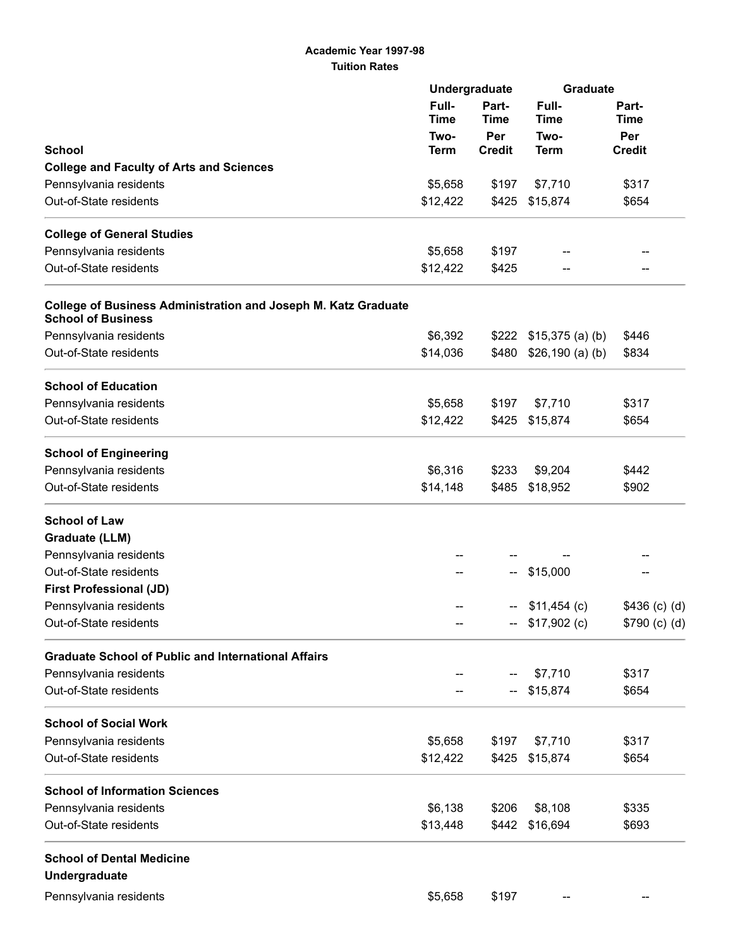## Academic Year 1997-98 Tuition Rates

|                                                                                             | Undergraduate         |                             | <b>Graduate</b>              |                                              |
|---------------------------------------------------------------------------------------------|-----------------------|-----------------------------|------------------------------|----------------------------------------------|
| <b>School</b>                                                                               | Full-<br>Time<br>Two- | Part-<br><b>Time</b><br>Per | Full-<br><b>Time</b><br>Two- | Part-<br><b>Time</b><br>Per<br><b>Credit</b> |
|                                                                                             |                       |                             |                              |                                              |
| Pennsylvania residents                                                                      | \$5,658               | \$197                       | \$7,710                      | \$317                                        |
| Out-of-State residents                                                                      | \$12,422              | \$425                       | \$15,874                     | \$654                                        |
|                                                                                             |                       |                             |                              |                                              |
| <b>College of General Studies</b>                                                           |                       |                             |                              |                                              |
| Pennsylvania residents                                                                      | \$5,658               | \$197                       |                              |                                              |
| Out-of-State residents                                                                      | \$12,422              | \$425                       |                              |                                              |
| College of Business Administration and Joseph M. Katz Graduate<br><b>School of Business</b> |                       |                             |                              |                                              |
| Pennsylvania residents                                                                      | \$6,392               | \$222                       | $$15,375$ (a) (b)            | \$446                                        |
| Out-of-State residents                                                                      | \$14,036              | \$480                       | \$26,190 (a) (b)             | \$834                                        |
| <b>School of Education</b>                                                                  |                       |                             |                              |                                              |
| Pennsylvania residents                                                                      | \$5,658               | \$197                       | \$7,710                      | \$317                                        |
| Out-of-State residents                                                                      | \$12,422              | \$425                       | \$15,874                     | \$654                                        |
| <b>School of Engineering</b>                                                                |                       |                             |                              |                                              |
| Pennsylvania residents                                                                      | \$6,316               | \$233                       | \$9,204                      | \$442                                        |
| Out-of-State residents                                                                      | \$14,148              | \$485                       | \$18,952                     | \$902                                        |
| <b>School of Law</b>                                                                        |                       |                             |                              |                                              |
| <b>Graduate (LLM)</b>                                                                       |                       |                             |                              |                                              |
| Pennsylvania residents                                                                      |                       |                             |                              |                                              |
| Out-of-State residents                                                                      |                       | --                          | \$15,000                     |                                              |
| <b>First Professional (JD)</b>                                                              |                       |                             |                              |                                              |
| Pennsylvania residents                                                                      |                       | --                          | $$11,454$ (c)                | $$436$ (c) (d)                               |
| Out-of-State residents                                                                      |                       |                             | $-$ \$17,902 (c)             | \$790 (c) (d)                                |
| <b>Graduate School of Public and International Affairs</b>                                  |                       |                             |                              |                                              |
| Pennsylvania residents                                                                      |                       |                             | \$7,710                      | \$317                                        |
| Out-of-State residents                                                                      |                       | --                          | \$15,874                     | \$654                                        |
| <b>School of Social Work</b>                                                                |                       |                             |                              |                                              |
| Pennsylvania residents                                                                      | \$5,658               | \$197                       | \$7,710                      | \$317                                        |
| Out-of-State residents                                                                      | \$12,422              | \$425                       | \$15,874                     | \$654                                        |
| <b>School of Information Sciences</b>                                                       |                       |                             |                              |                                              |
| Pennsylvania residents                                                                      | \$6,138               | \$206                       | \$8,108                      | \$335                                        |
| Out-of-State residents                                                                      | \$13,448              | \$442                       | \$16,694                     | \$693                                        |
| <b>School of Dental Medicine</b>                                                            |                       |                             |                              |                                              |
| Undergraduate                                                                               |                       |                             |                              |                                              |
| Pennsylvania residents                                                                      | \$5,658               | \$197                       | --                           |                                              |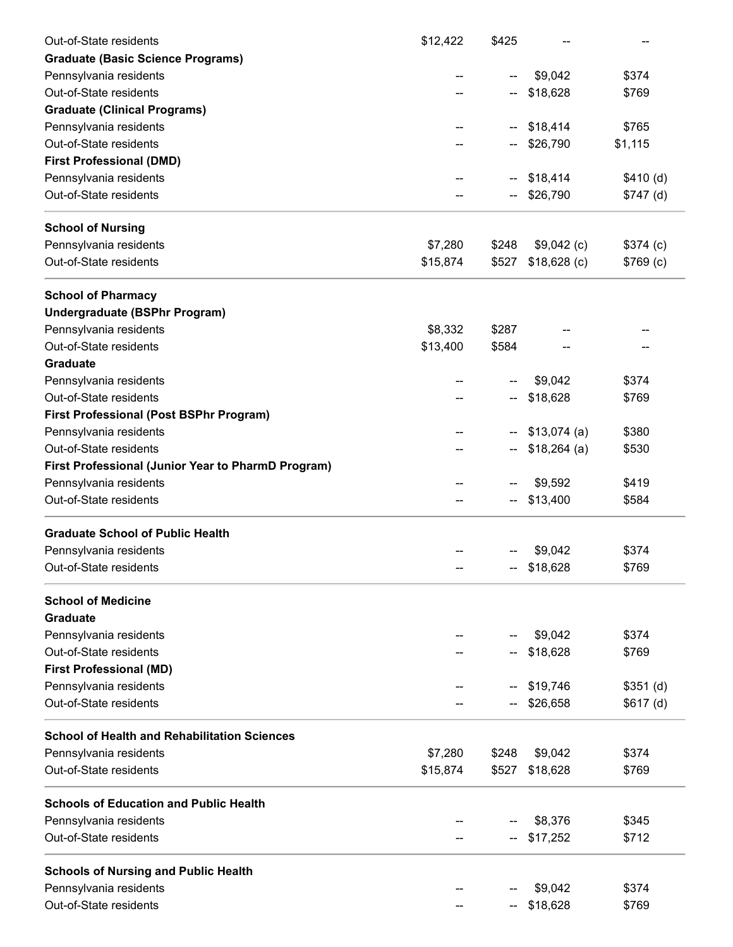| Out-of-State residents                                    | \$12,422 | \$425 |               |            |
|-----------------------------------------------------------|----------|-------|---------------|------------|
| <b>Graduate (Basic Science Programs)</b>                  |          |       |               |            |
| Pennsylvania residents                                    |          | --    | \$9,042       | \$374      |
| Out-of-State residents                                    |          |       | \$18,628      | \$769      |
| <b>Graduate (Clinical Programs)</b>                       |          |       |               |            |
| Pennsylvania residents                                    |          | н.    | \$18,414      | \$765      |
| Out-of-State residents                                    |          |       | \$26,790      | \$1,115    |
| <b>First Professional (DMD)</b>                           |          |       |               |            |
| Pennsylvania residents                                    |          |       | \$18,414      | \$410(d)   |
| Out-of-State residents                                    |          |       | \$26,790      | $$747$ (d) |
| <b>School of Nursing</b>                                  |          |       |               |            |
| Pennsylvania residents                                    | \$7,280  | \$248 | $$9,042$ (c)  | \$374 (c)  |
| Out-of-State residents                                    | \$15,874 | \$527 | $$18,628$ (c) | \$769(c)   |
| <b>School of Pharmacy</b>                                 |          |       |               |            |
| <b>Undergraduate (BSPhr Program)</b>                      |          |       |               |            |
| Pennsylvania residents                                    | \$8,332  | \$287 |               |            |
| Out-of-State residents                                    | \$13,400 | \$584 |               |            |
| <b>Graduate</b>                                           |          |       |               |            |
| Pennsylvania residents                                    |          | --    | \$9,042       | \$374      |
| Out-of-State residents                                    |          |       | \$18,628      | \$769      |
| <b>First Professional (Post BSPhr Program)</b>            |          |       |               |            |
| Pennsylvania residents                                    |          | −−    | $$13,074$ (a) | \$380      |
| Out-of-State residents                                    | --       |       | $$18,264$ (a) | \$530      |
| <b>First Professional (Junior Year to PharmD Program)</b> |          |       |               |            |
| Pennsylvania residents                                    |          |       | \$9,592       | \$419      |
| Out-of-State residents                                    |          |       | \$13,400      | \$584      |
| <b>Graduate School of Public Health</b>                   |          |       |               |            |
| Pennsylvania residents                                    |          |       | \$9,042       | \$374      |
| Out-of-State residents                                    |          |       | $-$ \$18,628  | \$769      |
| <b>School of Medicine</b>                                 |          |       |               |            |
| <b>Graduate</b>                                           |          |       |               |            |
| Pennsylvania residents                                    |          |       | \$9,042       | \$374      |
| Out-of-State residents                                    |          |       | \$18,628      | \$769      |
| <b>First Professional (MD)</b>                            |          |       |               |            |
| Pennsylvania residents                                    |          |       | \$19,746      | $$351$ (d) |
| Out-of-State residents                                    |          |       | \$26,658      | \$617(d)   |
| <b>School of Health and Rehabilitation Sciences</b>       |          |       |               |            |
| Pennsylvania residents                                    | \$7,280  | \$248 | \$9,042       | \$374      |
| Out-of-State residents                                    | \$15,874 | \$527 | \$18,628      | \$769      |
| <b>Schools of Education and Public Health</b>             |          |       |               |            |
| Pennsylvania residents                                    |          |       | \$8,376       | \$345      |
| Out-of-State residents                                    |          |       | \$17,252      | \$712      |
| <b>Schools of Nursing and Public Health</b>               |          |       |               |            |
| Pennsylvania residents                                    |          |       | \$9,042       | \$374      |
| Out-of-State residents                                    |          |       | \$18,628      | \$769      |